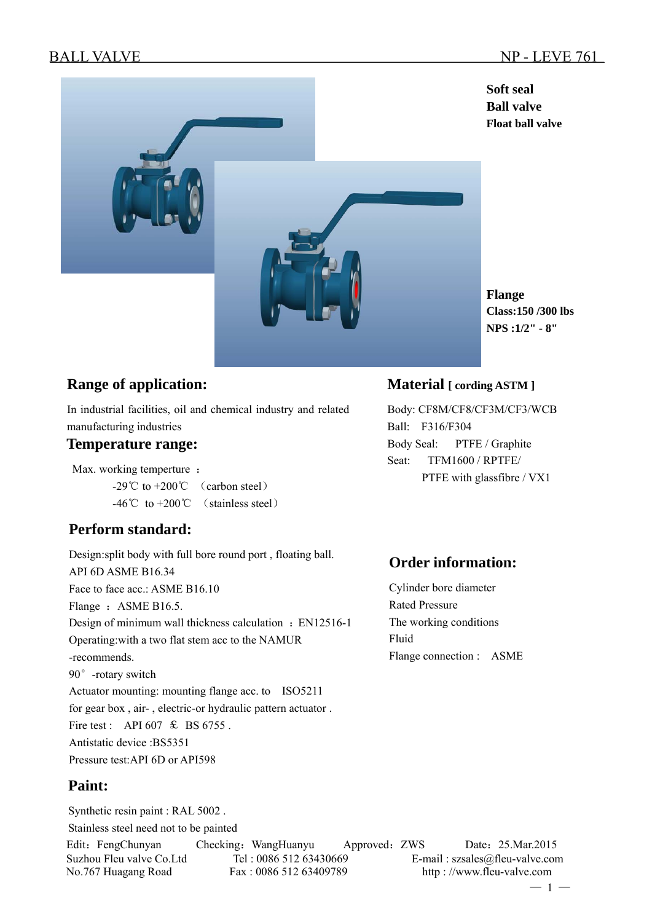

**Flange Class:150 /300 lbs NPS :1/2" - 8"** 

## **Range of application:**

In industrial facilities, oil and chemical industry and related manufacturing industries

#### **Temperature range:**

Max. working temperture :

 $-29^{\circ}$ C to  $+200^{\circ}$  (carbon steel) -46℃ to +200℃ (stainless steel)

## **Perform standard:**

Design:split body with full bore round port , floating ball. API 6D ASME B16.34 Face to face acc.: ASME B16.10 Flange : ASME B16.5. Design of minimum wall thickness calculation : EN12516-1 Operating:with a two flat stem acc to the NAMUR -recommends. 90°-rotary switch Actuator mounting: mounting flange acc. to ISO5211 for gear box , air- , electric-or hydraulic pattern actuator . Fire test : API 607  $\text{\textsterling}$  BS 6755. Antistatic device :BS5351 Pressure test:API 6D or API598

## **Paint:**

Edit: FengChunyan Checking: WangHuanyu Approved: ZWS Date: 25.Mar.2015 Suzhou Fleu valve Co.Ltd Tel : 0086 512 63430669 E-mail : szsales@fleu-valve.com No.767 Huagang Road Fax : 0086 512 63409789 http : //www.fleu-valve.com Synthetic resin paint : RAL 5002 . Stainless steel need not to be painted

### **Material [ cording ASTM ]**

Body: CF8M/CF8/CF3M/CF3/WCB Ball: F316/F304 Body Seal: PTFE / Graphite Seat: TFM1600 / RPTFE/ PTFE with glassfibre / VX1

# **Order information:**

Cylinder bore diameter Rated Pressure The working conditions Fluid Flange connection : ASME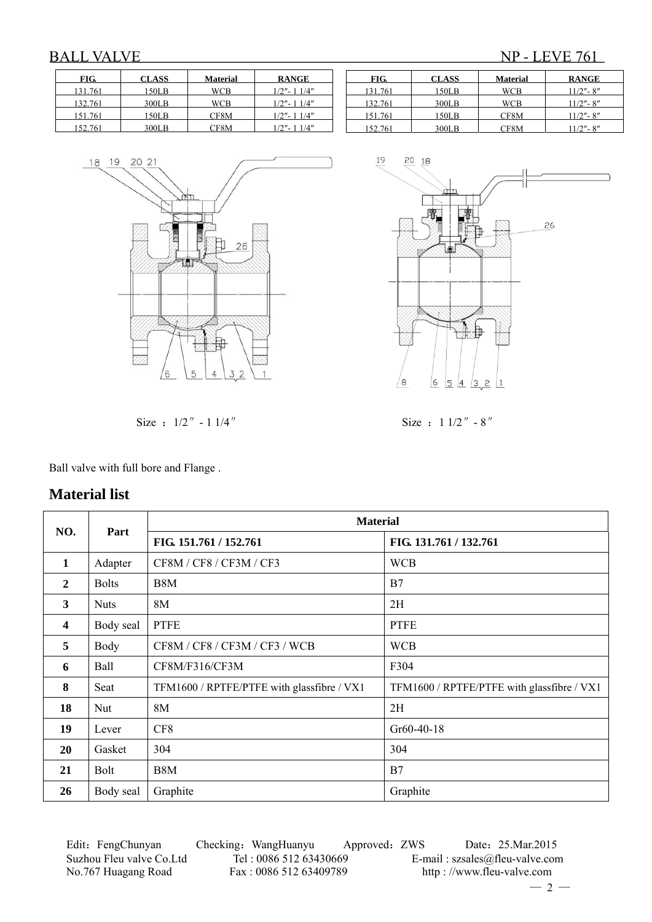# BALL VALVE NP - LEVE 761

| FIG.    | <b>CLASS</b> | <b>Material</b> | <b>RANGE</b>   |
|---------|--------------|-----------------|----------------|
| 131.761 | 150LB        | WCB             | $1/2" - 11/4"$ |
| 132.761 | 300LB        | WCB             | $1/2" - 11/4"$ |
| 151.761 | 150LB        | CF8M            | $1/2" - 11/4"$ |
| 152.761 | 300LB        | CF8M            | $1/2" - 11/4"$ |







Size :  $1/2'' - 1 1/4''$  Size :  $1 1/2'' - 8''$ 

Ball valve with full bore and Flange .

#### **Material list**

| NO.                     | Part         | <b>Material</b>                            |                                            |  |  |
|-------------------------|--------------|--------------------------------------------|--------------------------------------------|--|--|
|                         |              | FIG. 151.761 / 152.761                     | FIG. 131.761 / 132.761                     |  |  |
| $\mathbf{1}$            | Adapter      | CF8M / CF8 / CF3M / CF3                    | <b>WCB</b>                                 |  |  |
| $\mathbf{2}$            | <b>Bolts</b> | B8M                                        | B7                                         |  |  |
| 3                       | <b>Nuts</b>  | 8M                                         | 2H                                         |  |  |
| $\overline{\mathbf{4}}$ | Body seal    | <b>PTFE</b>                                | <b>PTFE</b>                                |  |  |
| 5                       | Body         | CF8M / CF8 / CF3M / CF3 / WCB              | <b>WCB</b>                                 |  |  |
| 6                       | Ball         | CF8M/F316/CF3M                             | F304                                       |  |  |
| 8                       | Seat         | TFM1600 / RPTFE/PTFE with glassfibre / VX1 | TFM1600 / RPTFE/PTFE with glassfibre / VX1 |  |  |
| 18                      | Nut          | 8M                                         | 2H                                         |  |  |
| 19                      | Lever        | CF8                                        | $Gr60-40-18$                               |  |  |
| 20                      | Gasket       | 304                                        | 304                                        |  |  |
| 21                      | Bolt         | B <sub>8</sub> M                           | B7                                         |  |  |
| 26                      | Body seal    | Graphite                                   | Graphite                                   |  |  |

Edit: FengChunyan Checking: WangHuanyu Approved: ZWS Date: 25.Mar.2015 Suzhou Fleu valve Co.Ltd Tel : 0086 512 63430669 E-mail : szsales@fleu-valve.com<br>No.767 Huagang Road Fax : 0086 512 63409789 http : //www.fleu-valve.com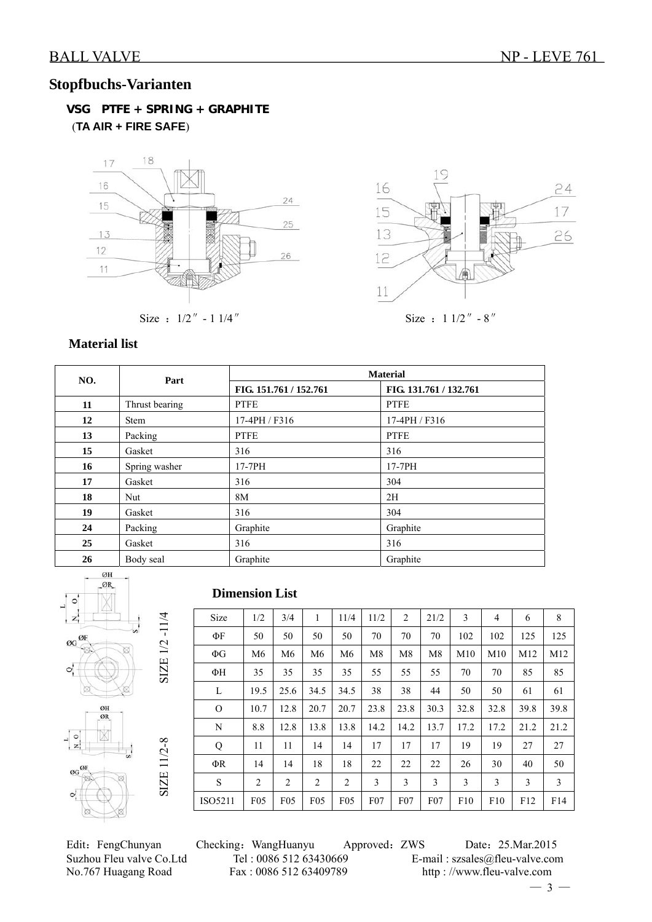## **Stopfbuchs-Varianten**

 **VSG PTFE + SPRING + GRAPHITE** (**TA AIR + FIRE SAFE**)





Size :  $1/2'' - 1 1/4''$  Size :  $1 1/2'' - 8''$ 

#### **Material list**

| NO. | Part           | <b>Material</b>        |                        |  |  |  |  |  |
|-----|----------------|------------------------|------------------------|--|--|--|--|--|
|     |                | FIG. 151.761 / 152.761 | FIG. 131.761 / 132.761 |  |  |  |  |  |
| 11  | Thrust bearing | <b>PTFE</b>            | <b>PTFE</b>            |  |  |  |  |  |
| 12  | <b>Stem</b>    | 17-4PH / F316          | 17-4PH / F316          |  |  |  |  |  |
| 13  | Packing        | <b>PTFE</b>            | <b>PTFE</b>            |  |  |  |  |  |
| 15  | Gasket         | 316                    | 316                    |  |  |  |  |  |
| 16  | Spring washer  | 17-7PH                 | 17-7PH                 |  |  |  |  |  |
| 17  | Gasket         | 316                    | 304                    |  |  |  |  |  |
| 18  | Nut            | 8M                     | 2H                     |  |  |  |  |  |
| 19  | Gasket         | 316                    | 304                    |  |  |  |  |  |
| 24  | Packing        | Graphite               | Graphite               |  |  |  |  |  |
| 25  | Gasket         | 316                    | 316                    |  |  |  |  |  |
| 26  | Body seal      | Graphite               | Graphite               |  |  |  |  |  |



#### **Dimension List**

| Size     | 1/2            | 3/4            | 1               | 11/4            | 11/2 | $\overline{2}$  | 21/2           | 3    | 4    | 6    | 8    |
|----------|----------------|----------------|-----------------|-----------------|------|-----------------|----------------|------|------|------|------|
| ΦF       | 50             | 50             | 50              | 50              | 70   | 70              | 70             | 102  | 102  | 125  | 125  |
| $\Phi G$ | M <sub>6</sub> | M <sub>6</sub> | M <sub>6</sub>  | M <sub>6</sub>  | M8   | M8              | M <sub>8</sub> | M10  | M10  | M12  | M12  |
| ΦН       | 35             | 35             | 35              | 35              | 55   | 55              | 55             | 70   | 70   | 85   | 85   |
| L        | 19.5           | 25.6           | 34.5            | 34.5            | 38   | 38              | 44             | 50   | 50   | 61   | 61   |
| $\Omega$ | 10.7           | 12.8           | 20.7            | 20.7            | 23.8 | 23.8            | 30.3           | 32.8 | 32.8 | 39.8 | 39.8 |
| N        | 8.8            | 12.8           | 13.8            | 13.8            | 14.2 | 14.2            | 13.7           | 17.2 | 17.2 | 21.2 | 21.2 |
| Q        | 11             | 11             | 14              | 14              | 17   | 17              | 17             | 19   | 19   | 27   | 27   |
| ΦR       | 14             | 14             | 18              | 18              | 22   | 22              | 22             | 26   | 30   | 40   | 50   |
| S        | $\overline{2}$ | $\overline{2}$ | 2               | $\overline{2}$  | 3    | 3               | 3              | 3    | 3    | 3    | 3    |
| ISO5211  | F05            | F05            | F <sub>05</sub> | F <sub>05</sub> | F07  | F <sub>07</sub> | F07            | F10  | F10  | F12  | F14  |

Edit: FengChunyan Checking: WangHuanyu Approved: ZWS Date: 25.Mar.2015 Suzhou Fleu valve Co.Ltd Tel : 0086 512 63430669 E-mail : szsales@fleu-valve.com<br>No.767 Huagang Road Fax : 0086 512 63409789 http : //www.fleu-valve.com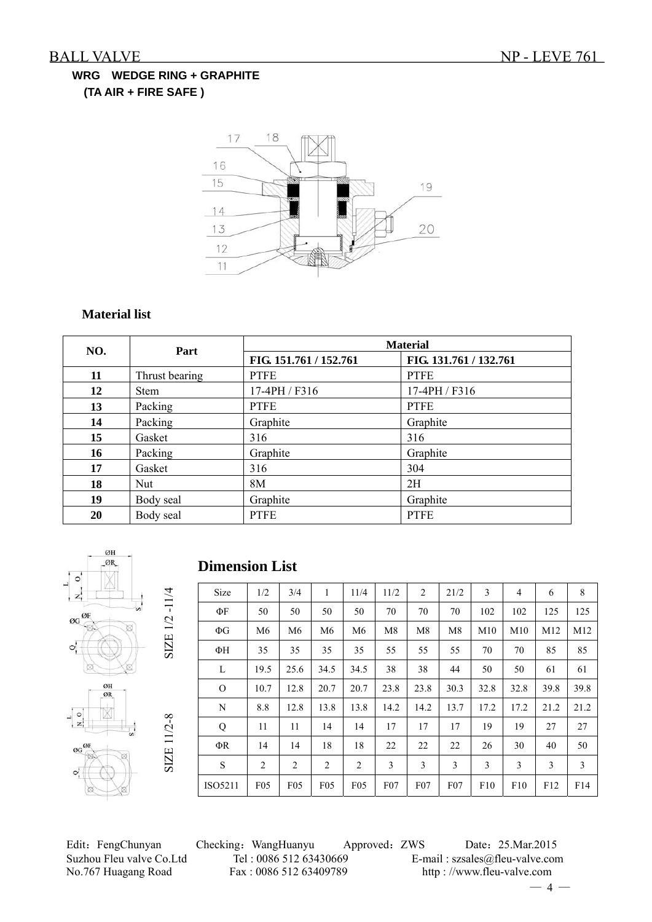## **WRG WEDGE RING + GRAPHITE (TA AIR + FIRE SAFE )**



#### **Material list**

| NO. | Part           | <b>Material</b>        |                        |  |  |  |  |  |
|-----|----------------|------------------------|------------------------|--|--|--|--|--|
|     |                | FIG. 151.761 / 152.761 | FIG. 131.761 / 132.761 |  |  |  |  |  |
| 11  | Thrust bearing | <b>PTFE</b>            | <b>PTFE</b>            |  |  |  |  |  |
| 12  | <b>Stem</b>    | 17-4PH / F316          | 17-4PH / F316          |  |  |  |  |  |
| 13  | Packing        | <b>PTFE</b>            | <b>PTFE</b>            |  |  |  |  |  |
| 14  | Packing        | Graphite               | Graphite               |  |  |  |  |  |
| 15  | Gasket         | 316                    | 316                    |  |  |  |  |  |
| 16  | Packing        | Graphite               | Graphite               |  |  |  |  |  |
| 17  | Gasket         | 316                    | 304                    |  |  |  |  |  |
| 18  | Nut            | 8M                     | 2H                     |  |  |  |  |  |
| 19  | Body seal      | Graphite               | Graphite               |  |  |  |  |  |
| 20  | Body seal      | <b>PTFE</b>            | <b>PTFE</b>            |  |  |  |  |  |



#### **Dimension List**

| Size        | 1/2            | 3/4             | 1               | 11/4            | 11/2            | $\overline{2}$ | 21/2            | 3    | 4    | 6    | 8    |
|-------------|----------------|-----------------|-----------------|-----------------|-----------------|----------------|-----------------|------|------|------|------|
| ФF          | 50             | 50              | 50              | 50              | 70              | 70             | 70              | 102  | 102  | 125  | 125  |
| $\Phi$ G    | M <sub>6</sub> | M <sub>6</sub>  | M6              | M <sub>6</sub>  | M8              | M <sub>8</sub> | M8              | M10  | M10  | M12  | M12  |
| ΦН          | 35             | 35              | 35              | 35              | 55              | 55             | 55              | 70   | 70   | 85   | 85   |
| L           | 19.5           | 25.6            | 34.5            | 34.5            | 38              | 38             | 44              | 50   | 50   | 61   | 61   |
| $\Omega$    | 10.7           | 12.8            | 20.7            | 20.7            | 23.8            | 23.8           | 30.3            | 32.8 | 32.8 | 39.8 | 39.8 |
| N           | 8.8            | 12.8            | 13.8            | 13.8            | 14.2            | 14.2           | 13.7            | 17.2 | 17.2 | 21.2 | 21.2 |
| Q           | 11             | 11              | 14              | 14              | 17              | 17             | 17              | 19   | 19   | 27   | 27   |
| ΦR          | 14             | 14              | 18              | 18              | 22              | 22             | 22              | 26   | 30   | 40   | 50   |
| $\mathbf S$ | $\overline{2}$ | $\overline{c}$  | $\overline{c}$  | $\overline{2}$  | 3               | 3              | 3               | 3    | 3    | 3    | 3    |
| ISO5211     | F05            | F <sub>05</sub> | F <sub>05</sub> | F <sub>05</sub> | F <sub>07</sub> | $F_{07}$       | F <sub>07</sub> | F10  | F10  | F12  | F14  |

Edit: FengChunyan Checking: WangHuanyu Approved: ZWS Date: 25.Mar.2015 Suzhou Fleu valve Co.Ltd Tel : 0086 512 63430669 E-mail : szsales@fleu-valve.com<br>No.767 Huagang Road Fax : 0086 512 63409789 http : //www.fleu-valve.com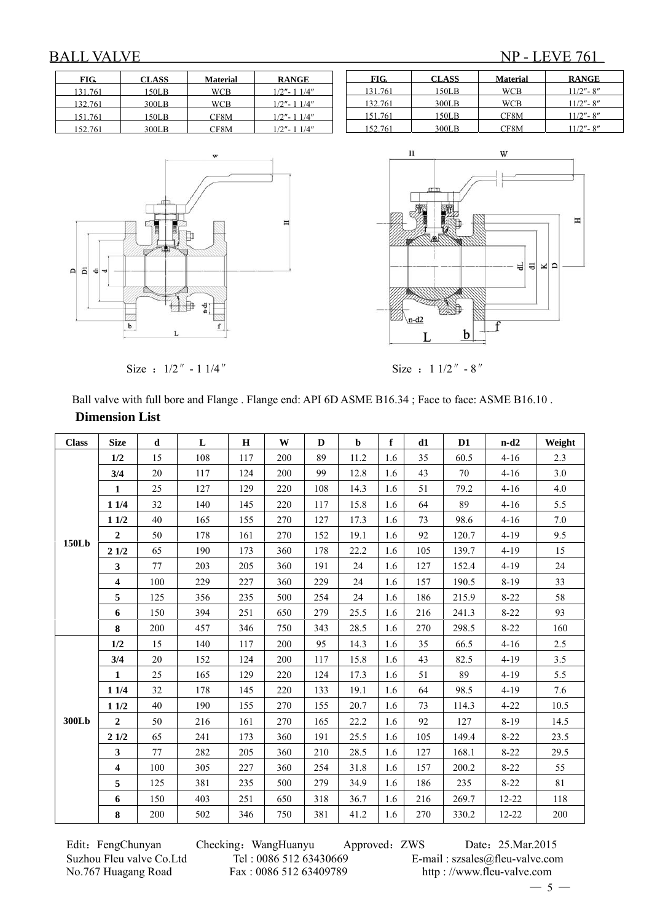## BALL VALVE NP - LEVE 761

| FIG.    | <b>CLASS</b> | <b>Material</b> | <b>RANGE</b>   |
|---------|--------------|-----------------|----------------|
| 131.761 | 150LB        | WCB             | $1/2" - 11/4"$ |
| 132.761 | 300LB        | <b>WCB</b>      | $1/2" - 11/4"$ |
| 151.761 | 150LB        | CF8M            | $1/2" - 11/4"$ |
| 152.761 | 300LB        | CF8M            | $1/2" - 11/4"$ |







Size :  $1/2'' - 1 1/4''$  Size :  $1 1/2'' - 8''$ 

 Ball valve with full bore and Flange . Flange end: API 6D ASME B16.34 ; Face to face: ASME B16.10 .  **Dimension List**

| <b>Class</b> | <b>Size</b>             | d   | L   | $\bf{H}$ | W   | D   | $\mathbf b$ | $\mathbf f$ | d1  | D <sub>1</sub> | $n-d2$    | Weight |
|--------------|-------------------------|-----|-----|----------|-----|-----|-------------|-------------|-----|----------------|-----------|--------|
|              | 1/2                     | 15  | 108 | 117      | 200 | 89  | 11.2        | 1.6         | 35  | 60.5           | $4 - 16$  | 2.3    |
|              | 3/4                     | 20  | 117 | 124      | 200 | 99  | 12.8        | 1.6         | 43  | 70             | $4-16$    | 3.0    |
|              | $\mathbf{1}$            | 25  | 127 | 129      | 220 | 108 | 14.3        | 1.6         | 51  | 79.2           | $4-16$    | 4.0    |
|              | $11/4$                  | 32  | 140 | 145      | 220 | 117 | 15.8        | 1.6         | 64  | 89             | $4 - 16$  | 5.5    |
|              | 11/2                    | 40  | 165 | 155      | 270 | 127 | 17.3        | 1.6         | 73  | 98.6           | $4-16$    | 7.0    |
| <b>150Lb</b> | $\overline{2}$          | 50  | 178 | 161      | 270 | 152 | 19.1        | 1.6         | 92  | 120.7          | $4-19$    | 9.5    |
|              | 21/2                    | 65  | 190 | 173      | 360 | 178 | 22.2        | 1.6         | 105 | 139.7          | $4-19$    | 15     |
|              | $\mathbf{3}$            | 77  | 203 | 205      | 360 | 191 | 24          | 1.6         | 127 | 152.4          | $4 - 19$  | 24     |
|              | $\overline{\mathbf{4}}$ | 100 | 229 | 227      | 360 | 229 | 24          | 1.6         | 157 | 190.5          | $8-19$    | 33     |
|              | 5                       | 125 | 356 | 235      | 500 | 254 | 24          | 1.6         | 186 | 215.9          | $8 - 22$  | 58     |
|              | 6                       | 150 | 394 | 251      | 650 | 279 | 25.5        | 1.6         | 216 | 241.3          | $8 - 22$  | 93     |
|              | 8                       | 200 | 457 | 346      | 750 | 343 | 28.5        | 1.6         | 270 | 298.5          | $8 - 22$  | 160    |
|              | 1/2                     | 15  | 140 | 117      | 200 | 95  | 14.3        | 1.6         | 35  | 66.5           | $4 - 16$  | 2.5    |
|              | 3/4                     | 20  | 152 | 124      | 200 | 117 | 15.8        | 1.6         | 43  | 82.5           | $4 - 19$  | 3.5    |
|              | 1                       | 25  | 165 | 129      | 220 | 124 | 17.3        | 1.6         | 51  | 89             | $4-19$    | 5.5    |
|              | 11/4                    | 32  | 178 | 145      | 220 | 133 | 19.1        | 1.6         | 64  | 98.5           | $4 - 19$  | 7.6    |
|              | 11/2                    | 40  | 190 | 155      | 270 | 155 | 20.7        | 1.6         | 73  | 114.3          | $4 - 22$  | 10.5   |
| 300Lb        | $\mathbf{2}$            | 50  | 216 | 161      | 270 | 165 | 22.2        | 1.6         | 92  | 127            | $8-19$    | 14.5   |
|              | 21/2                    | 65  | 241 | 173      | 360 | 191 | 25.5        | 1.6         | 105 | 149.4          | $8-22$    | 23.5   |
|              | $\mathbf{3}$            | 77  | 282 | 205      | 360 | 210 | 28.5        | 1.6         | 127 | 168.1          | $8 - 22$  | 29.5   |
|              | $\overline{\mathbf{4}}$ | 100 | 305 | 227      | 360 | 254 | 31.8        | 1.6         | 157 | 200.2          | $8 - 22$  | 55     |
|              | 5                       | 125 | 381 | 235      | 500 | 279 | 34.9        | 1.6         | 186 | 235            | $8 - 22$  | 81     |
|              | 6                       | 150 | 403 | 251      | 650 | 318 | 36.7        | 1.6         | 216 | 269.7          | $12 - 22$ | 118    |
|              | 8                       | 200 | 502 | 346      | 750 | 381 | 41.2        | 1.6         | 270 | 330.2          | 12-22     | 200    |

Edit: FengChunyan Checking: WangHuanyu Approved: ZWS Date: 25.Mar.2015 Suzhou Fleu valve Co.Ltd Tel : 0086 512 63430669 E-mail : szsales@fleu-valve.com<br>No.767 Huagang Road Fax : 0086 512 63409789 http : //www.fleu-valve.com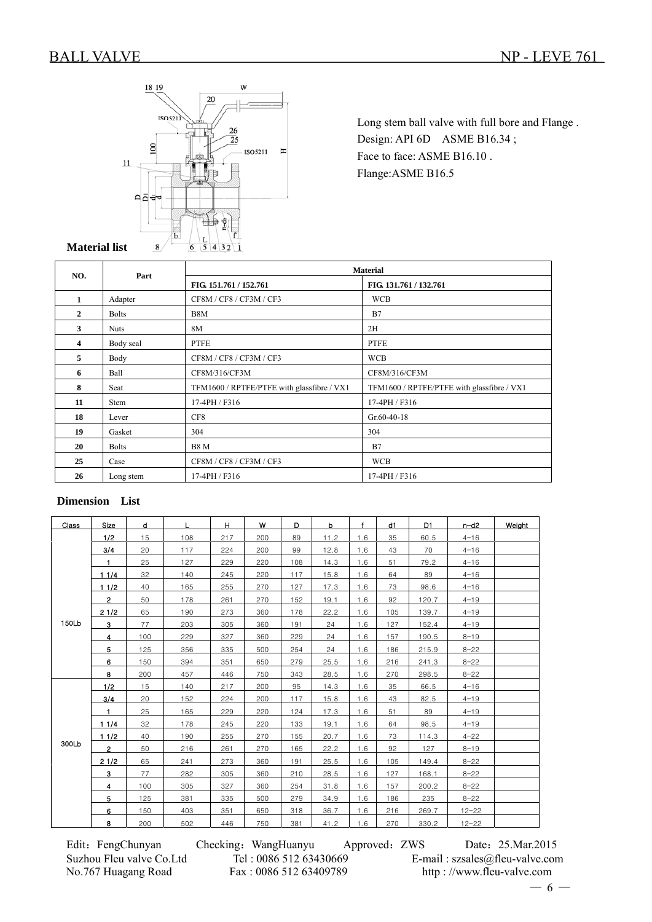

Long stem ball valve with full bore and Flange . Design: API 6D ASME B16.34; Face to face: ASME B16.10. Flange:ASME B16.5

#### $\overline{a}$ **Material list**

| NO.          | Part         | <b>Material</b>                            |                                            |  |  |  |  |  |  |
|--------------|--------------|--------------------------------------------|--------------------------------------------|--|--|--|--|--|--|
|              |              | FIG. 151.761 / 152.761                     | FIG. 131.761 / 132.761                     |  |  |  |  |  |  |
| 1            | Adapter      | CF8M / CF8 / CF3M / CF3                    | <b>WCB</b>                                 |  |  |  |  |  |  |
| $\mathbf{2}$ | <b>Bolts</b> | B8M                                        | B7                                         |  |  |  |  |  |  |
| 3            | <b>Nuts</b>  | 8M                                         | 2H                                         |  |  |  |  |  |  |
| 4            | Body seal    | <b>PTFE</b>                                | <b>PTFE</b>                                |  |  |  |  |  |  |
| 5            | Body         | CF8M / CF8 / CF3M / CF3                    | <b>WCB</b>                                 |  |  |  |  |  |  |
| 6            | Ball         | CF8M/316/CF3M                              | CF8M/316/CF3M                              |  |  |  |  |  |  |
| 8            | Seat         | TFM1600 / RPTFE/PTFE with glassfibre / VX1 | TFM1600 / RPTFE/PTFE with glassfibre / VX1 |  |  |  |  |  |  |
| 11           | Stem         | 17-4PH / F316                              | 17-4PH / F316                              |  |  |  |  |  |  |
| 18           | Lever        | CF8                                        | $Gr.60-40-18$                              |  |  |  |  |  |  |
| 19           | Gasket       | 304                                        | 304                                        |  |  |  |  |  |  |
| 20           | <b>Bolts</b> | <b>B8 M</b>                                | B7                                         |  |  |  |  |  |  |
| 25           | Case         | CF8M / CF8 / CF3M / CF3                    | <b>WCB</b>                                 |  |  |  |  |  |  |
| 26           | Long stem    | 17-4PH / F316                              | 17-4PH / F316                              |  |  |  |  |  |  |

#### **Dimension List**

| Class | Size           | d   | L   | H   | w   | D   | b    | $\mathbf{f}$ | d1  | D1    | $n-d2$    | Weight |
|-------|----------------|-----|-----|-----|-----|-----|------|--------------|-----|-------|-----------|--------|
|       | 1/2            | 15  | 108 | 217 | 200 | 89  | 11.2 | 1.6          | 35  | 60.5  | $4 - 16$  |        |
|       | 3/4            | 20  | 117 | 224 | 200 | 99  | 12.8 | 1.6          | 43  | 70    | $4 - 16$  |        |
|       | $\blacksquare$ | 25  | 127 | 229 | 220 | 108 | 14.3 | 1.6          | 51  | 79.2  | $4 - 16$  |        |
|       | 11/4           | 32  | 140 | 245 | 220 | 117 | 15.8 | 1.6          | 64  | 89    | $4 - 16$  |        |
|       | 11/2           | 40  | 165 | 255 | 270 | 127 | 17.3 | 1.6          | 73  | 98.6  | $4 - 16$  |        |
|       | $2^{\circ}$    | 50  | 178 | 261 | 270 | 152 | 19.1 | 1.6          | 92  | 120.7 | $4 - 19$  |        |
|       | 21/2           | 65  | 190 | 273 | 360 | 178 | 22.2 | 1.6          | 105 | 139.7 | $4 - 19$  |        |
| 150Lb | $\mathbf{3}$   | 77  | 203 | 305 | 360 | 191 | 24   | 1.6          | 127 | 152.4 | $4 - 19$  |        |
|       | 4              | 100 | 229 | 327 | 360 | 229 | 24   | 1.6          | 157 | 190.5 | $8 - 19$  |        |
|       | 5              | 125 | 356 | 335 | 500 | 254 | 24   | 1.6          | 186 | 215.9 | $8 - 22$  |        |
|       | 6              | 150 | 394 | 351 | 650 | 279 | 25.5 | 1.6          | 216 | 241.3 | $8 - 22$  |        |
|       | 8              | 200 | 457 | 446 | 750 | 343 | 28.5 | 1.6          | 270 | 298.5 | $8 - 22$  |        |
|       | 1/2            | 15  | 140 | 217 | 200 | 95  | 14.3 | 1.6          | 35  | 66.5  | $4 - 16$  |        |
|       | 3/4            | 20  | 152 | 224 | 200 | 117 | 15.8 | 1.6          | 43  | 82.5  | $4 - 19$  |        |
|       | $\blacksquare$ | 25  | 165 | 229 | 220 | 124 | 17.3 | 1.6          | 51  | 89    | $4 - 19$  |        |
|       | 11/4           | 32  | 178 | 245 | 220 | 133 | 19.1 | 1.6          | 64  | 98.5  | $4 - 19$  |        |
|       | 11/2           | 40  | 190 | 255 | 270 | 155 | 20.7 | 1.6          | 73  | 114.3 | $4 - 22$  |        |
| 300Lb | $\overline{2}$ | 50  | 216 | 261 | 270 | 165 | 22.2 | 1.6          | 92  | 127   | $8 - 19$  |        |
|       | 21/2           | 65  | 241 | 273 | 360 | 191 | 25.5 | 1.6          | 105 | 149.4 | $8 - 22$  |        |
|       | $\mathbf{3}$   | 77  | 282 | 305 | 360 | 210 | 28.5 | 1.6          | 127 | 168.1 | $8 - 22$  |        |
|       | 4              | 100 | 305 | 327 | 360 | 254 | 31.8 | 1.6          | 157 | 200.2 | $8 - 22$  |        |
|       | 5              | 125 | 381 | 335 | 500 | 279 | 34.9 | 1.6          | 186 | 235   | $8 - 22$  |        |
|       | 6              | 150 | 403 | 351 | 650 | 318 | 36.7 | 1.6          | 216 | 269.7 | $12 - 22$ |        |
|       | 8              | 200 | 502 | 446 | 750 | 381 | 41.2 | 1.6          | 270 | 330.2 | $12 - 22$ |        |

Edit: FengChunyan Checking: WangHuanyu Approved: ZWS Date: 25.Mar.2015 Suzhou Fleu valve Co.Ltd Tel : 0086 512 63430669 E-mail : szsales@fleu-valve.com<br>No.767 Huagang Road Fax : 0086 512 63409789 http : //www.fleu-valve.com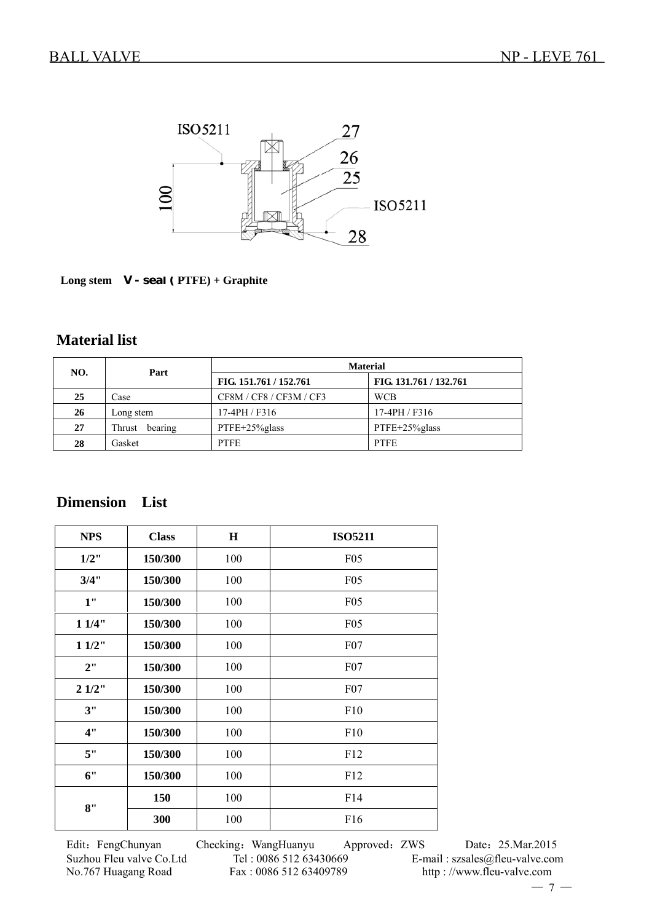

 **Long stem V - seal ( PTFE) + Graphite** 

### **Material list**

| NO. | Part              | <b>Material</b>        |                        |  |  |  |  |
|-----|-------------------|------------------------|------------------------|--|--|--|--|
|     |                   | FIG. 151.761 / 152.761 | FIG. 131.761 / 132.761 |  |  |  |  |
| 25  | Case              | CF8M/CF8/CF3M/CF3      | <b>WCB</b>             |  |  |  |  |
| 26  | Long stem         | 17-4PH / F316          | 17-4PH / F316          |  |  |  |  |
| 27  | bearing<br>Thrust | PTFE+25%glass          | PTFE+25%glass          |  |  |  |  |
| 28  | Gasket            | <b>PTFE</b>            | <b>PTFE</b>            |  |  |  |  |

## **Dimension List**

| <b>NPS</b> | <b>Class</b> | H   | <b>ISO5211</b> |
|------------|--------------|-----|----------------|
| $1/2$ "    | 150/300      | 100 | F05            |
| 3/4"       | 150/300      | 100 | F05            |
| 1"         | 150/300      | 100 | F05            |
| 11/4"      | 150/300      | 100 | F05            |
| 11/2"      | 150/300      | 100 | F07            |
| 2"         | 150/300      | 100 | F07            |
| 21/2"      | 150/300      | 100 | F07            |
| 3"         | 150/300      | 100 | F10            |
| 4"         | 150/300      | 100 | F10            |
| 5"         | 150/300      | 100 | F12            |
| 6"         | 150/300      | 100 | F12            |
| 8"         | 150          | 100 | F14            |
|            | 300          | 100 | F16            |

Edit: FengChunyan Checking: WangHuanyu Approved: ZWS Date: 25.Mar.2015 Suzhou Fleu valve Co.Ltd Tel : 0086 512 63430669 E-mail : szsales@fleu-valve.com<br>No.767 Huagang Road Fax : 0086 512 63409789 http : //www.fleu-valve.com